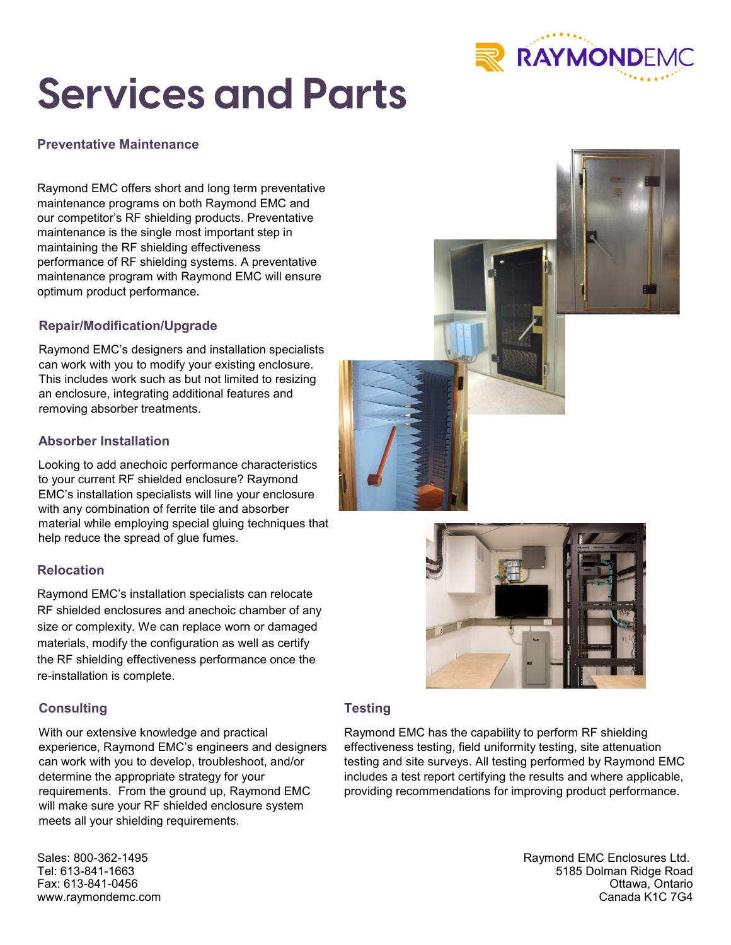

# **Services and Parts**

**Preventative Maintenance**

Raymond EMC offers short and long term preventative maintenance programs on both Raymond EMC and our competitor's RF shielding products. Preventative maintenance is the single most important step in maintaining the RF shielding effectiveness performance of RF shielding systems. A preventative maintenance program with Raymond EMC will ensure optimum product performance.

# **Repair/Modification/Upgrade**

Raymond EMC's designers and installation specialists can work with you to modify your existing enclosure. This includes work such as but not limited to resizing an enclosure, integrating additional features and removing absorber treatments.

## **Absorber Installation**

Looking to add anechoic performance characteristics to your current RF shielded enclosure? Raymond EMC's installation specialists will line your enclosure with any combination of ferrite tile and absorber material while employing special gluing techniques that help reduce the spread of glue fumes.

## **Relocation**

Raymond EMC's installation specialists can relocate RF shielded enclosures and anechoic chamber of any size or complexity. We can replace worn or damaged materials, modify the configuration as well as certify the RF shielding effectiveness performance once the re-installation is complete.

## **Consulting**

With our extensive knowledge and practical experience, Raymond EMC's engineers and designers can work with you to develop, troubleshoot, and/or determine the appropriate strategy for your requirements. From the ground up, Raymond EMC will make sure your RF shielded enclosure system meets all your shielding requirements.

Sales: 800-362-1495 Tel: 613-841-1663 Fax: 613-841-0456 www.raymondemc.com

## **Testing**

Raymond EMC has the capability to perform RF shielding effectiveness testing, field uniformity testing, site attenuation testing and site surveys. All testing performed by Raymond EMC includes a test report certifying the results and where applicable, providing recommendations for improving product performance.